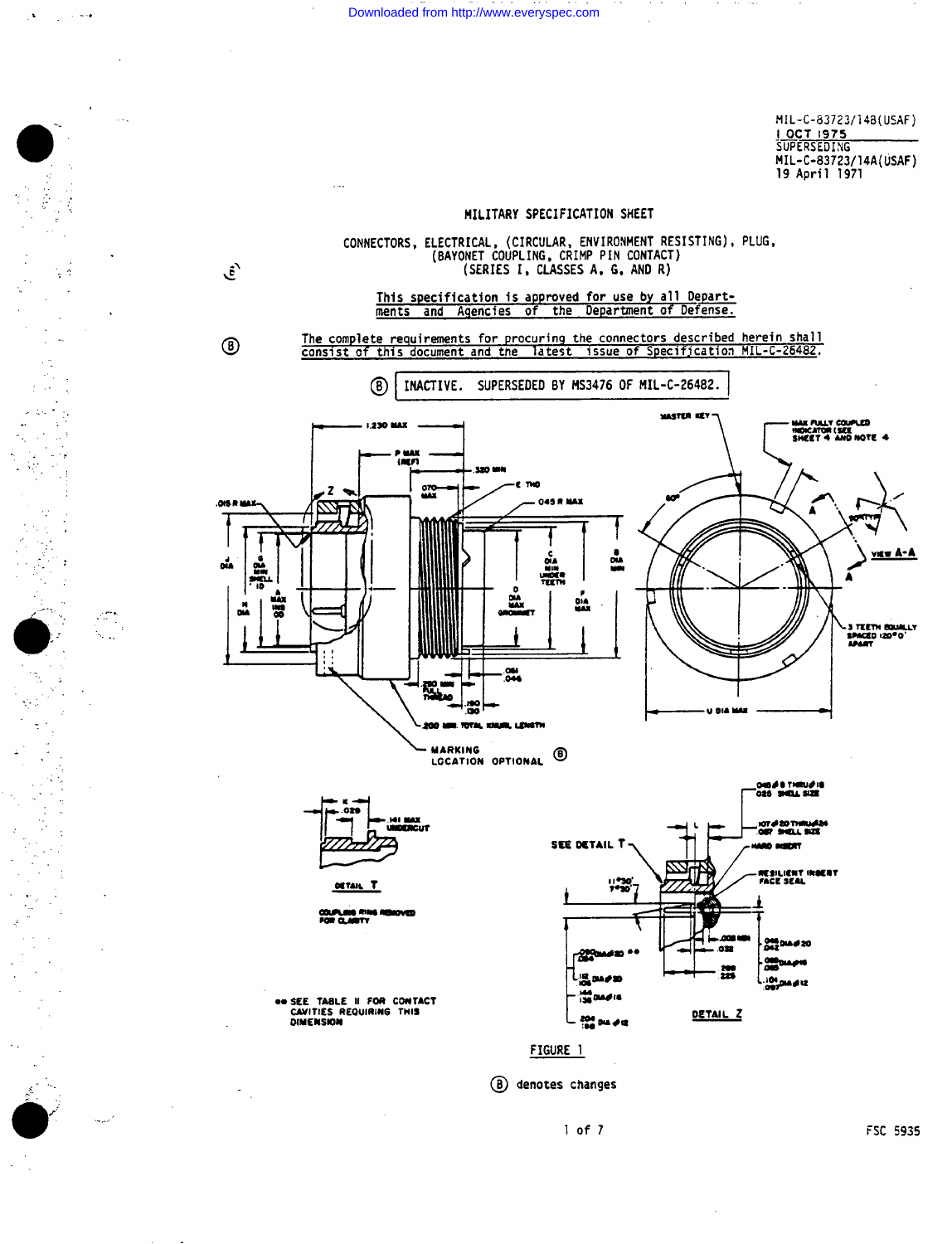Downloaded from http://www.everyspec.com

្ន

MIL-C-83723/148(USAF) I OCT 1975 MIL-C-83723/14A(USAF) 19 April 1971



 $1 of 7$ 

FSC 5935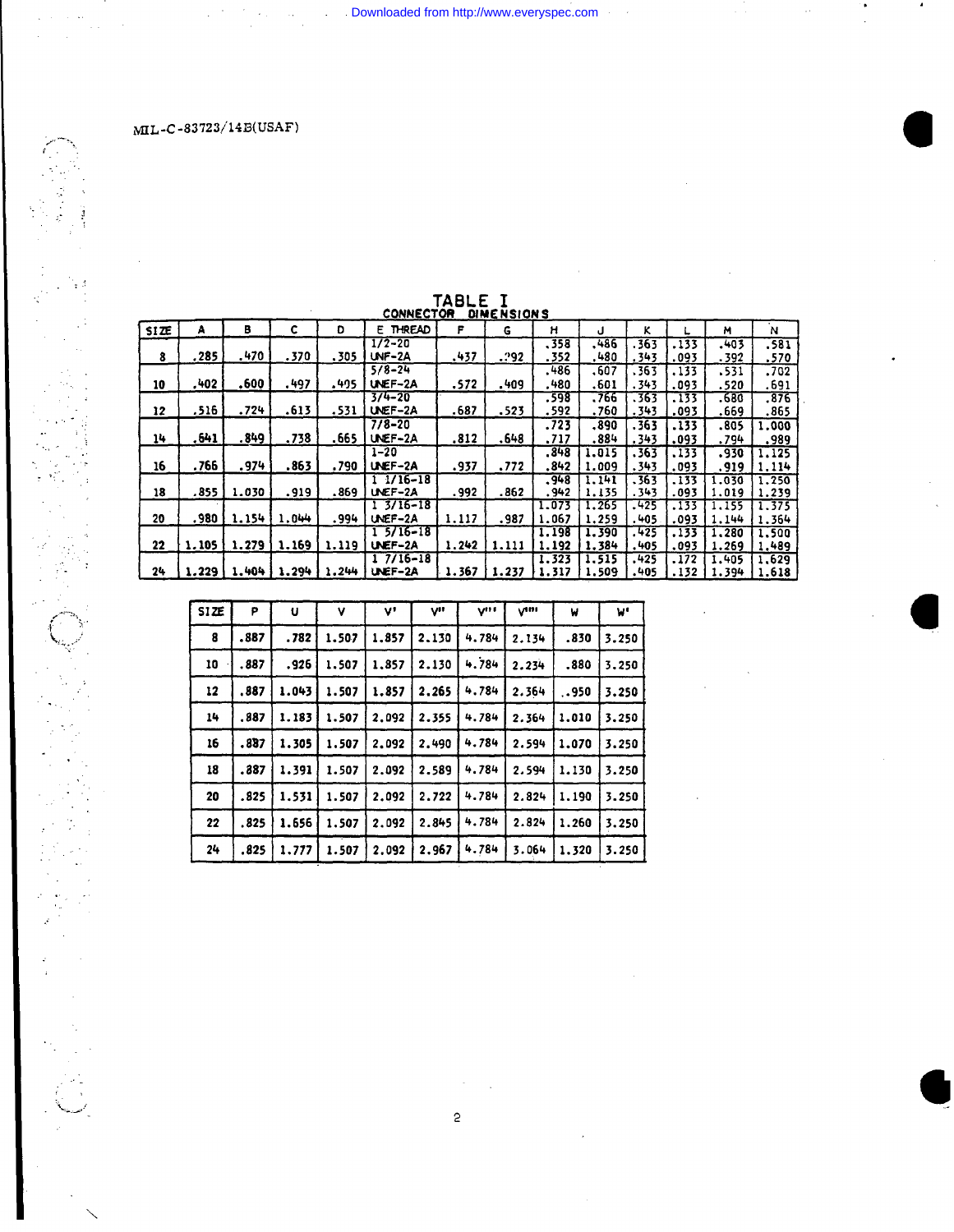$\mathcal{A}^{\mathcal{A}}$ 

 $\frac{1}{2}$ 

| <b>SIZE</b> | А     | в     | c     | Đ     | <u>.</u><br>E THREAD    | F     | <br>G | н              | J              | ĸ              |               | м              | N              |
|-------------|-------|-------|-------|-------|-------------------------|-------|-------|----------------|----------------|----------------|---------------|----------------|----------------|
| 8           | .285  | .470  | .370  | .305  | $1/2 - 20$<br>UNF-2A    | .437  | .292  | .358<br>.352   | .486<br>.480   | . 363<br>.343  | .133<br>.093  | .403<br>.392   | .581<br>.570   |
| 10          | .402  | .600  | . 497 | .495  | $5/8 - 24$<br>UNEF-2A   | .572  | .409  | . 486<br>.480  | 607ء<br>.601   | . 363<br>.343  | .133<br>.093  | .531<br>.520   | .702<br>.691   |
| 12          | .516  | .724  | .613  | .531  | $3/4 - 20$<br>UNEF-2A   | .687  | .523  | .598<br>.592   | .766<br>.760   | .363<br>.343   | 733<br>.093   | .680<br>.669   | .376<br>.865   |
| 14          | .641  | . 849 | .738  | .665  | $7/8 - 20$<br>UNEF-2A   | .812  | .648  | .723<br>.717   | .890<br>.884   | . 363<br>.343  | .133<br>.093  | .805<br>.794   | 1.000<br>.989  |
| 16          | .766  | .974  | .863  | .790  | $1 - 20$<br>UNEF-2A     | .937  | .772  | . 848<br>. 842 | 1.015<br>1.009 | .363<br>. 343  | .133<br>.093  | .930<br>.919   | .125<br>1.114  |
| 18          | .855  | 1.030 | .919  | .869  | $11/16-18$<br>UNEF-2A   | .992  | .862  | .948<br>. 942  | 1.141<br>1.135 | . 363<br>.343  | . 133<br>.093 | 1.030<br>1.019 | 1.250<br>1.239 |
| 20          | .980  | 1.154 | 1.044 | .994  | $13/16 - 18$<br>UNEF-2A | 1.117 | .987  | 1.073<br>1.067 | 1.265<br>1,259 | .425<br>. 405  | .133<br>.093  | 1.155<br>1.144 | 1.375<br>1.364 |
| 22          | 1,105 | 1,279 | 1.169 | 1.119 | $15/16-18$<br>UNEF-2A   | 1.242 | 1.111 | 1.198<br>1.192 | 1.390<br>1.384 | . 425<br>. 405 | .133<br>.093  | 1.280<br>1.269 | 1,500<br>1.489 |
| 24          | 1.229 | 1.404 | 1.294 | 1.244 | $17/16 - 18$<br>UNEF-2A | 1.367 | 1.237 | 1.323<br>1.317 | 1.515<br>1,509 | . 425<br>.405  | .172<br>.132  | 1.405<br>1.394 | 1.629<br>1.618 |

## TABLE I<br>CONNECTOR DIMENSIONS

 $\sim$ 

**Example 2018** Downloaded from http://www.everyspec.com

| SIZE | P    | U     | ۷     | v,    | V"    | V <sup>III</sup> | $V^{ini}$ | W     | W.    |
|------|------|-------|-------|-------|-------|------------------|-----------|-------|-------|
| 8    | .887 | .782  | 1.507 | 1.857 | 2,130 | 4.784            | 2.134     | .830  | 3.250 |
| 10   | .887 | .926  | 1.507 | 1.857 | 2.130 | 4.784            | 2.234     | .880  | 3,250 |
| 12   | .887 | 1.043 | 1.507 | 1.857 | 2,265 | 4.784            | 2.364     | 950   | 3.250 |
| 14   | .887 | 1.183 | 1.507 | 2.092 | 2.355 | 4.784            | 2.364     | 1.010 | 3.250 |
| 16   | .887 | 1.305 | 1.507 | 2.092 | 2.490 | 4.784            | 2.594     | 1.070 | 3.250 |
| 18   | .387 | 1.391 | 1.507 | 2.092 | 2.589 | 4.784            | 2.594     | 1.130 | 3.250 |
| 20   | .825 | 1.531 | 1.507 | 2.092 | 2.722 | 4.784            | 2.824     | 1.190 | 3.250 |
| 22   | .825 | 1.656 | 1.507 | 2.092 | 2.845 | 4.784            | 2.824     | 1.260 | 3.250 |
| 24   | .825 | 1.777 | 1.507 | 2.092 | 2.967 | 4.784            | 3.064     | 1.320 | 3.250 |

 $\sim$   $\sim$  $\overline{c}$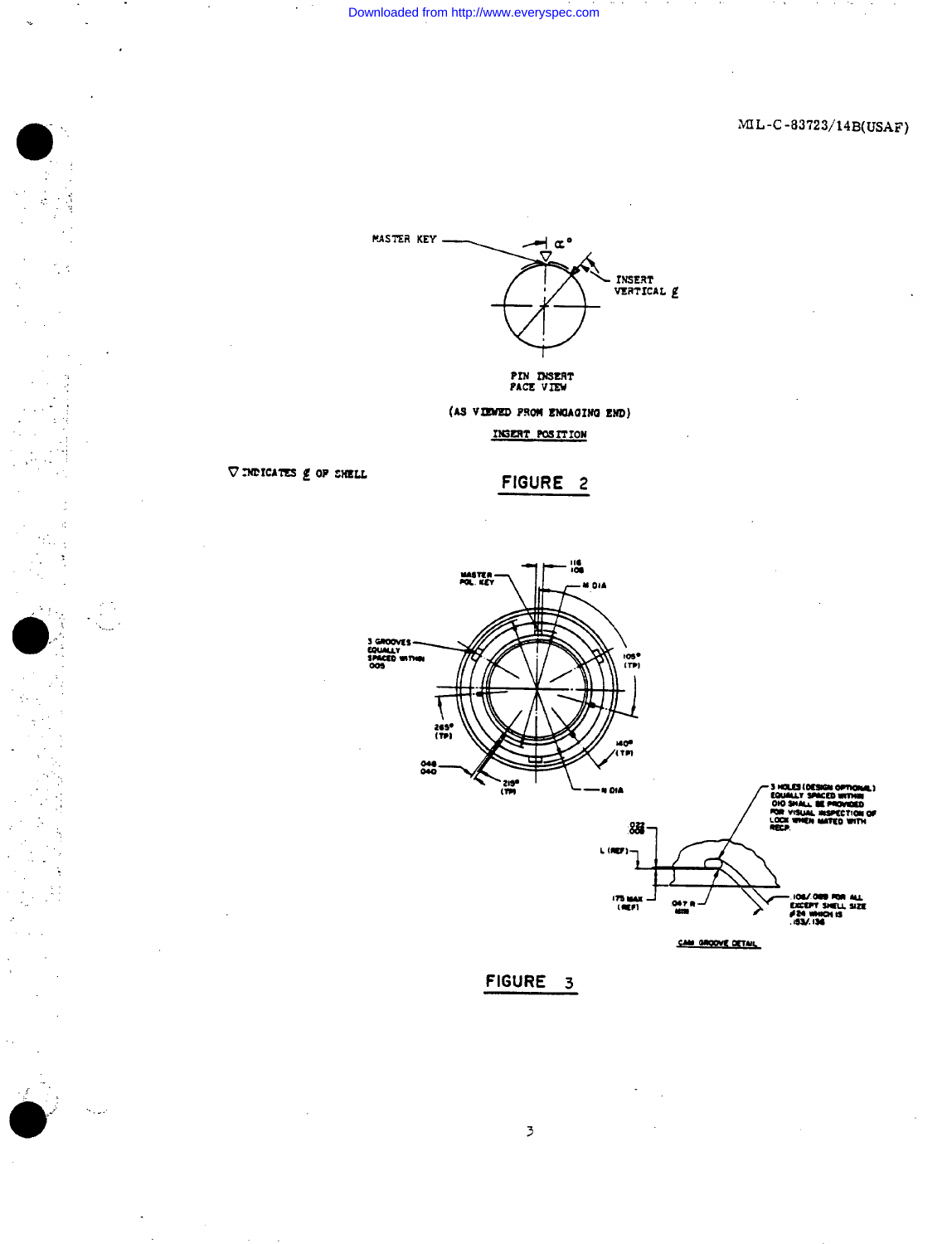$ML-C-83723/14B(USAF)$ 



(AS VIEWED PROM ENGAGING END) INSERT POSITION

 $\nabla$  indicates  $g$  of shell

FIGURE 2



FIGURE 3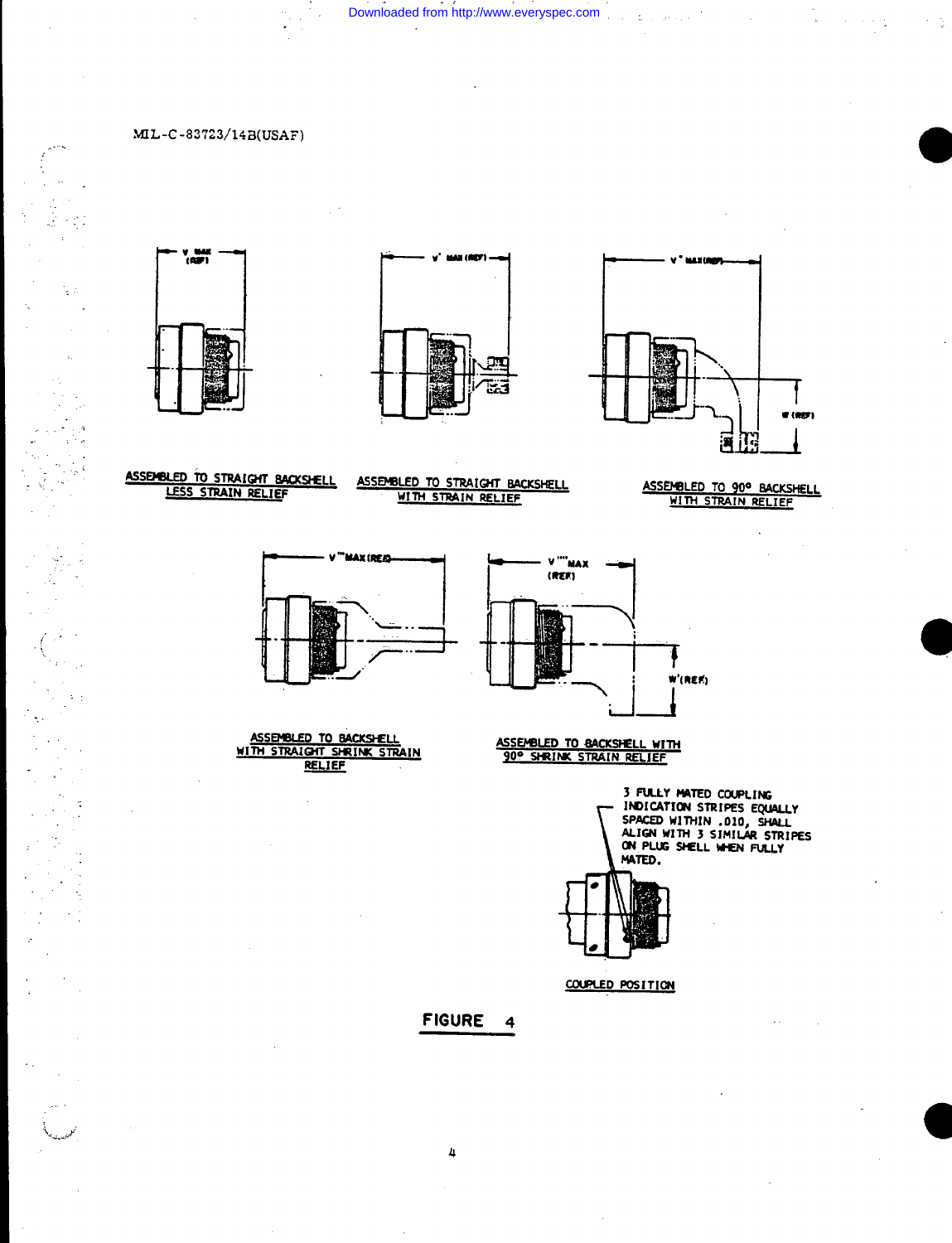Downloaded from http://www.everyspec.com

## MIL-C-83723/14B(USAF)

يتأسل

 $\frac{1}{2}$  in

 $\mathbb{Z}_2$ 

 $\bar{z}$ 

 $\frac{1}{2}$  ,  $\frac{1}{2}$ 

 $\mathbf{y} \rightarrow$ 

 $\ddot{\phantom{a}}$ 

 $\frac{1}{2}$  ,  $\frac{1}{2}$ 





 $\Delta$ 



ASSEMBLED TO STRAIGHT BACKSHELL LESS STRAIN RELIEF

ASSEMBLED TO STRAIGHT BACKSHELL WITH STRAIN RELIEF

ASSEMBLED TO 90° BACKSHELL<br>WITH STRAIN RELIEF



ASSEMBLED TO BACKSHELL WITH STRAIGHT SHRINK STRAIM **RELIEF** 



ASSEMBLED TO BACKSHELL WITH<br>90° SHRINK STRAIN RELIEF

3 FULLY MATED COUPLING<br>INDICATION STRIPES EQUALLY SPACED WITHIN .010, SHALL<br>ALIGN WITH 3 SIMILAR STRIPES<br>ON PLUG SHELL WHEN FULLY MATED.



COUPLED POSITION

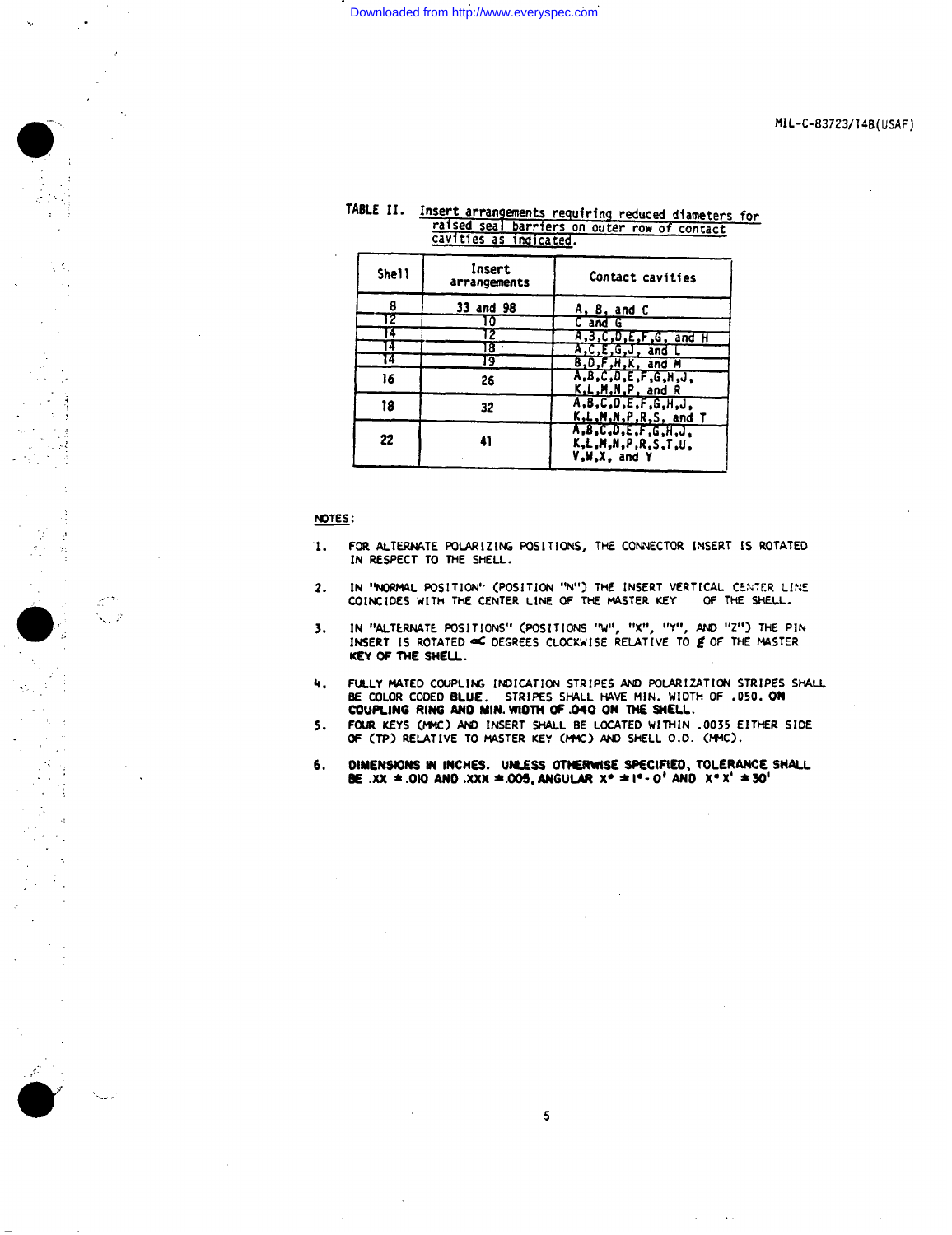## Downloaded from http://www.everyspec.com

## TABLE II. Insert arrangements requiring reduced diameters for<br>raised seal barriers on outer row of contact<br>cavities as indicated.

| <b>Shell</b> | Insert<br>arrangements | Contact cavities                                                        |  |  |  |  |
|--------------|------------------------|-------------------------------------------------------------------------|--|--|--|--|
| 8            | 33 and 98              | A, B, and C                                                             |  |  |  |  |
| 2            | 10                     | C and G                                                                 |  |  |  |  |
| 4            |                        | A, B, C, D, E, F, G, and H                                              |  |  |  |  |
|              | 8.                     | A,C,E,G,J, and L                                                        |  |  |  |  |
|              | 19                     | B, D, F, H, K, and M                                                    |  |  |  |  |
| 16           | 26                     | A, B, C, D, E, F, G, H, J,<br>K,L,M,N,P, and R                          |  |  |  |  |
| 18           | 32                     | A, B, C, D, E, F, G, H, J,<br>K.L.M.N.P.R.S. and T                      |  |  |  |  |
| 22           | 41                     | A, B, C, D, E, F, G, H, J,<br>K.L.M.N.P.R.S.T.U.<br><b>V.W.X. and Y</b> |  |  |  |  |

NOTES:

 $\mathcal{D}$ 

 $\frac{1}{2}$ 

 $\hat{\boldsymbol{\beta}}$ 

 $\mathcal{A}$ 

 $\infty$ 

- FOR ALTERNATE POLARIZING POSITIONS, THE CONNECTOR INSERT IS ROTATED Ί. IN RESPECT TO THE SHELL.
- IN "NORMAL POSITION" (POSITION "N") THE INSERT VERTICAL CENTER LINE  $2.$ COINCIDES WITH THE CENTER LINE OF THE MASTER KEY OF THE SHELL.
- IN "ALTERNATE POSITIONS" (POSITIONS "W", "X", "Y", AND "Z") THE PIN 3. INSERT IS ROTATED OF DEGREES CLOCKWISE RELATIVE TO E OF THE MASTER KEY OF THE SHELL.
- FULLY MATED COUPLING INDICATION STRIPES AND POLARIZATION STRIPES SHALL BE COLOR CODED BLUE. STRIPES SHALL HAVE MIN. WIDTH OF .050. ON COUPLING RING AND MIN. WIDTH OF .040 ON THE SHELL. 4.
- FOUR KEYS (MMC) AND INSERT SHALL BE LOCATED WITHIN .0035 EITHER SIDE OF (TP) RELATIVE TO MASTER KEY (MMC) AND SHELL 0.0. (MMC).  $5.$
- 6. DIMENSIONS IN INCHES. UNLESS OTHERWISE SPECIFIED, TOLERANCE SHALL BE .XX = .010 AND .XXX = .005, ANGULAR  $x^* = 1^* - 0^*$  AND  $x^* x^* = 30^+$

 $5\phantom{.0}$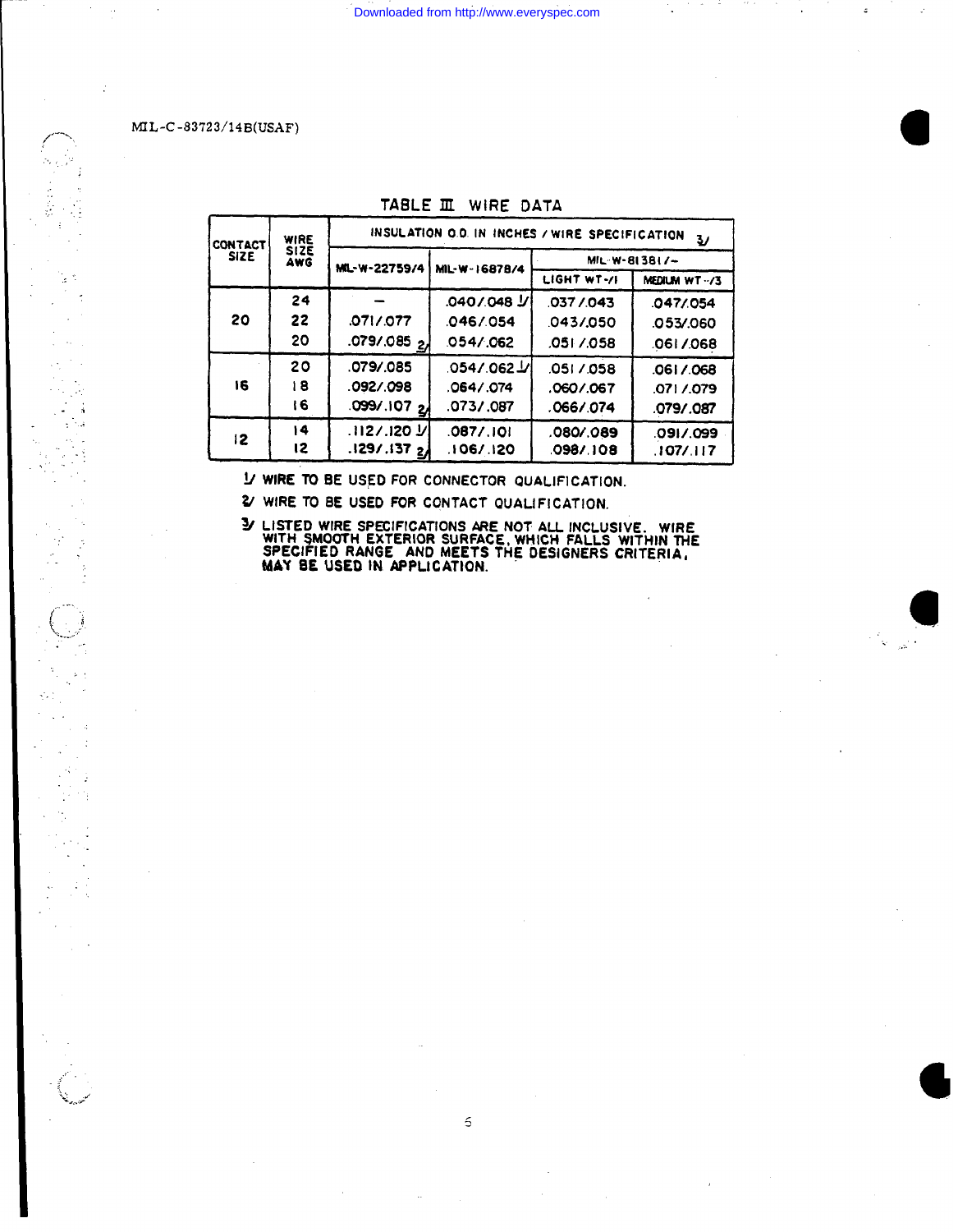MIL-C-83723/14B(USAF)

 $\pm$   $\beta$ 

 $\mathcal{A}$  $\sim$ 

 $\cdot$ ÷ Ĥ,

| <b>CONTACT</b> | WIRE               | INSULATION O.D. IN INCHES / WIRE SPECIFICATION<br>ν |               |               |              |  |  |  |  |
|----------------|--------------------|-----------------------------------------------------|---------------|---------------|--------------|--|--|--|--|
| <b>SIZE</b>    | <b>SIZE</b><br>AWG | MIL-W-22759/4                                       | MIL-W-16878/4 | MIL-W-813817- |              |  |  |  |  |
|                |                    |                                                     |               | LIGHT WT-/I   | MEDIUM WT-/3 |  |  |  |  |
|                | 24                 |                                                     |               | 037/043       | .047/054     |  |  |  |  |
| 20             | 22                 | .071/077                                            | 046/054       | 043/050       | .053/.060    |  |  |  |  |
|                | 20                 | 079/085 2                                           | 054/062       | .0517.058     | .0617.068    |  |  |  |  |
|                | 20                 | .079/.085                                           | .054/.062 V   | .0517.058     | .0617.068    |  |  |  |  |
| 16             | 18                 | .092/.098                                           | .0647.074     | .0607.067     | 0717.079     |  |  |  |  |
|                | ۱6                 | .099/.107 24                                        | .073/.087     | .0667.074     | .079/.087    |  |  |  |  |
| 12.            | 14                 | .1127.120 J/l                                       | .087/.101     | .080/089      | ,091/.099    |  |  |  |  |
|                | 12                 | .129/.1372                                          | 106/120       | .0987.108     | .107/.117    |  |  |  |  |

TABLE III WIRE DATA

I/ WIRE TO BE USED FOR CONNECTOR QUALIFICATION.

2/ WIRE TO BE USED FOR CONTACT QUALIFICATION.

3/ LISTED WIRE SPECIFICATIONS ARE NOT ALL INCLUSIVE. WIRE<br>WITH SMOOTH EXTERIOR SURFACE, WHICH FALLS WITHIN THE<br>SPECIFIED RANGE AND MEETS THE DESIGNERS CRITERIA,<br>MAY BE USED IN APPLICATION.